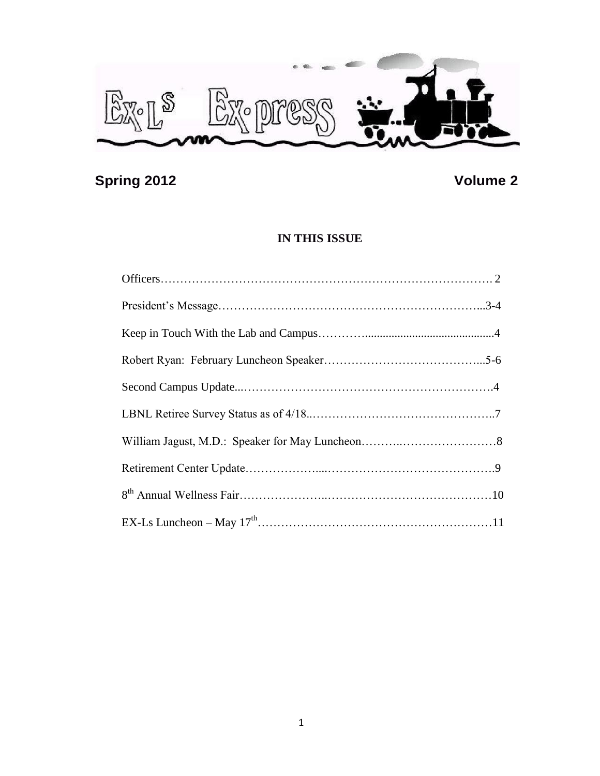

# **Spring 2012** Volume 2

## **IN THIS ISSUE**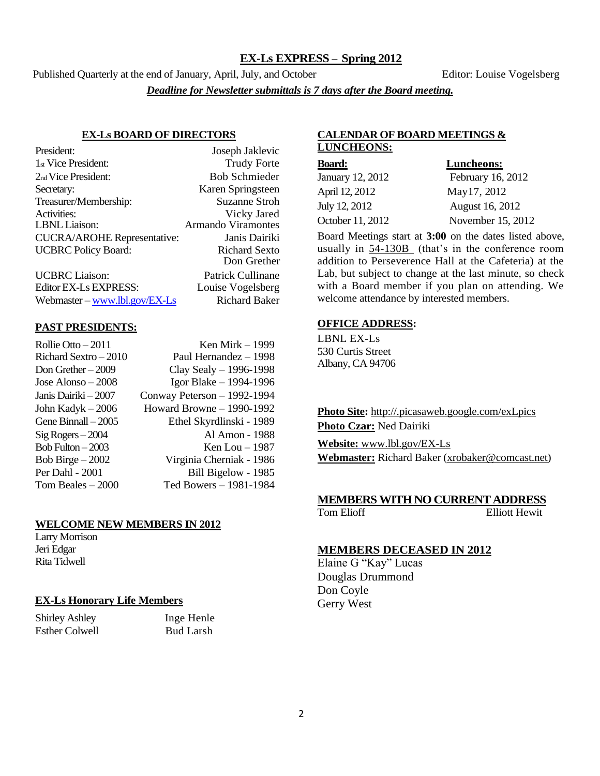#### **EX-Ls EXPRESS – Spring 2012**

Published Quarterly at the end of January, April, July, and October Editor: Louise Vogelsberg *Deadline for Newsletter submittals is 7 days after the Board meeting.*

#### **EX-Ls BOARD OF DIRECTORS**

| President:                         | Joseph Jaklevic           |
|------------------------------------|---------------------------|
| 1 <sub>st</sub> Vice President:    | <b>Trudy Forte</b>        |
| 2 <sub>nd</sub> Vice President:    | <b>Bob Schmieder</b>      |
| Secretary:                         | Karen Springsteen         |
| Treasurer/Membership:              | <b>Suzanne Stroh</b>      |
| Activities:                        | Vicky Jared               |
| LBNL Liaison:                      | <b>Armando Viramontes</b> |
| <b>CUCRA/AROHE Representative:</b> | Janis Dairiki             |
| <b>UCBRC</b> Policy Board:         | <b>Richard Sexto</b>      |
|                                    | Don Grether               |
| <b>UCBRC</b> Liaison:              | Patrick Cullinane         |
| Editor EX-Ls EXPRESS:              | Louise Vogelsberg         |

Webmaster – [www.lbl.gov/EX-Ls](http://www.lbl.gov/EX-Ls) Richard Baker

#### **PAST PRESIDENTS:**

| Ken Mirk – 1999             |
|-----------------------------|
| Paul Hernandez - 1998       |
| Clay Sealy $-$ 1996-1998    |
| Igor Blake - 1994-1996      |
| Conway Peterson - 1992-1994 |
| Howard Browne - 1990-1992   |
| Ethel Skyrdlinski - 1989    |
| Al Amon - 1988              |
| Ken Lou $-1987$             |
| Virginia Cherniak - 1986    |
| Bill Bigelow - 1985         |
| Ted Bowers - 1981-1984      |
|                             |

#### **WELCOME NEW MEMBERS IN 2012**

Larry Morrison Jeri Edgar Rita Tidwell

#### **EX-Ls Honorary Life Members**

Shirley Ashley Inge Henle Esther Colwell Bud Larsh

#### **CALENDAR OF BOARD MEETINGS & LUNCHEONS:**

| <b>Board:</b>    | Luncheons:        |
|------------------|-------------------|
| January 12, 2012 | February 16, 2012 |
| April 12, 2012   | May17, 2012       |
| July 12, 2012    | August 16, 2012   |
| October 11, 2012 | November 15, 2012 |

Board Meetings start at **3:00** on the dates listed above, usually in 54-130B (that's in the conference room addition to Perseverence Hall at the Cafeteria) at the Lab, but subject to change at the last minute, so check with a Board member if you plan on attending. We welcome attendance by interested members.

#### **OFFICE ADDRESS:**

LBNL EX-Ls 530 Curtis Street Albany, CA 94706

**Photo Site:** http://.picasaweb.google.com/exLpics **Photo Czar:** Ned Dairiki **Website:** [www.lbl.gov/EX-Ls](http://www.lbl.gov/EX-Ls)

**Webmaster:** Richard Baker [\(xrobaker@comcast.net\)](mailto:xrobaker@comcast.net)

#### **MEMBERS WITH NO CURRENT ADDRESS**

Tom Elioff Elliott Hewit

#### **MEMBERS DECEASED IN 2012**

Elaine G "Kay" Lucas Douglas Drummond Don Coyle Gerry West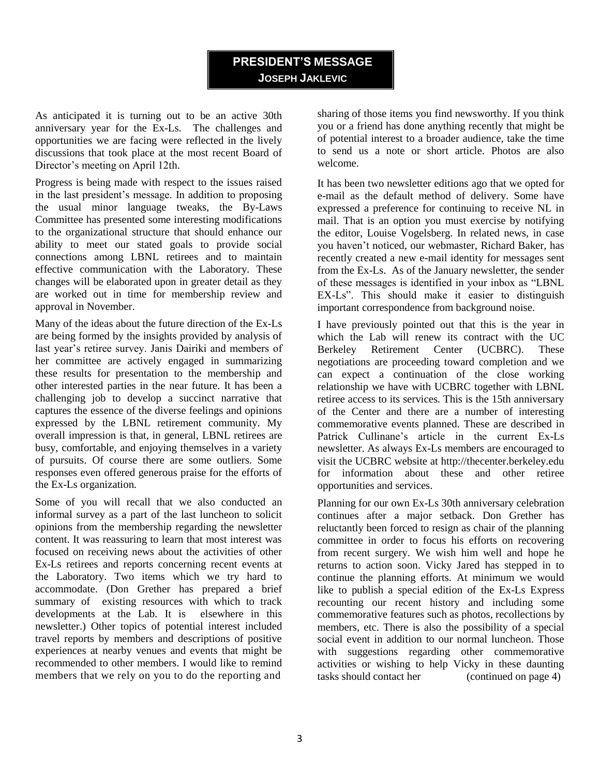## **PRESIDENT'S MESSAGE JOSEPH JAKLEVIC**

As anticipated it is turning out to be an active 30th anniversary year for the Ex-Ls. The challenges and opportunities we are facing were reflected in the lively discussions that took place at the most recent Board of Director's meeting on April 12th.

Progress is being made with respect to the issues raised in the last president's message. In addition to proposing the usual minor language tweaks, the By-Laws Committee has presented some interesting modifications to the organizational structure that should enhance our ability to meet our stated goals to provide social connections among LBNL retirees and to maintain effective communication with the Laboratory. These changes will be elaborated upon in greater detail as they are worked out in time for membership review and approval in November.

Many of the ideas about the future direction of the Ex-Ls are being formed by the insights provided by analysis of last year's retiree survey. Janis Dairiki and members of her committee are actively engaged in summarizing these results for presentation to the membership and other interested parties in the near future. It has been a challenging job to develop a succinct narrative that captures the essence of the diverse feelings and opinions expressed by the LBNL retirement community. My overall impression is that, in general, LBNL retirees are busy, comfortable, and enjoying themselves in a variety of pursuits. Of course there are some outliers. Some responses even offered generous praise for the efforts of the Ex-Ls organization*.*

Some of you will recall that we also conducted an informal survey as a part of the last luncheon to solicit opinions from the membership regarding the newsletter content. It was reassuring to learn that most interest was focused on receiving news about the activities of other Ex-Ls retirees and reports concerning recent events at the Laboratory. Two items which we try hard to accommodate. (Don Grether has prepared a brief summary of existing resources with which to track developments at the Lab. It is elsewhere in this newsletter.) Other topics of potential interest included travel reports by members and descriptions of positive experiences at nearby venues and events that might be recommended to other members. I would like to remind members that we rely on you to do the reporting and

sharing of those items you find newsworthy. If you think you or a friend has done anything recently that might be of potential interest to a broader audience, take the time to send us a note or short article. Photos are also welcome.

It has been two newsletter editions ago that we opted for e-mail as the default method of delivery. Some have expressed a preference for continuing to receive NL in mail. That is an option you must exercise by notifying the editor, Louise Vogelsberg. In related news, in case you haven't noticed, our webmaster, Richard Baker, has recently created a new e-mail identity for messages sent from the Ex-Ls. As of the January newsletter, the sender of these messages is identified in your inbox as "LBNL EX-Ls". This should make it easier to distinguish important correspondence from background noise.

I have previously pointed out that this is the year in which the Lab will renew its contract with the UC Berkeley Retirement Center (UCBRC). These negotiations are proceeding toward completion and we can expect a continuation of the close working relationship we have with UCBRC together with LBNL retiree access to its services. This is the 15th anniversary of the Center and there are a number of interesting commemorative events planned. These are described in Patrick Cullinane's article in the current Ex-Ls newsletter. As always Ex-Ls members are encouraged to visit the UCBRC website at http://thecenter.berkeley.edu for information about these and other retiree opportunities and services.

Planning for our own Ex-Ls 30th anniversary celebration continues after a major setback. Don Grether has reluctantly been forced to resign as chair of the planning committee in order to focus his efforts on recovering from recent surgery. We wish him well and hope he returns to action soon. Vicky Jared has stepped in to continue the planning efforts. At minimum we would like to publish a special edition of the Ex-Ls Express recounting our recent history and including some commemorative features such as photos, recollections by members, etc. There is also the possibility of a special social event in addition to our normal luncheon. Those with suggestions regarding other commemorative activities or wishing to help Vicky in these daunting tasks should contact her (continued on page 4)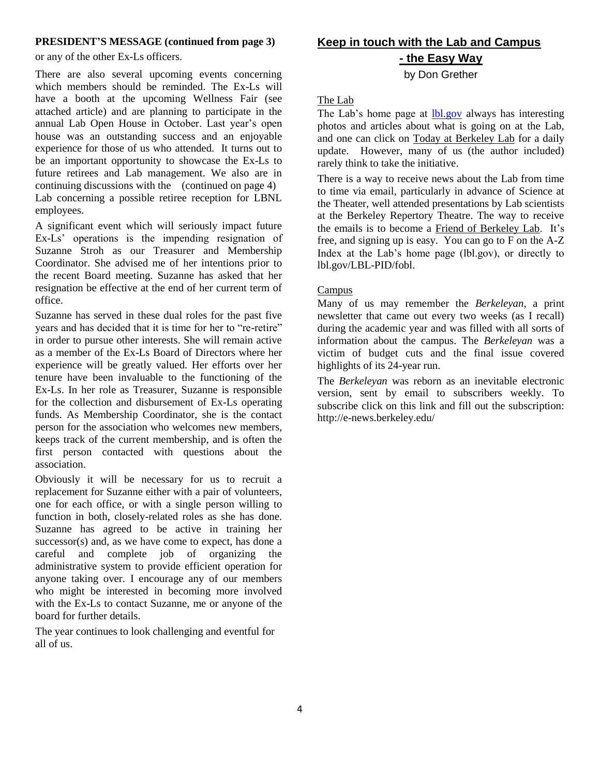#### **PRESIDENT'S MESSAGE (continued from page 3)**

or any of the other Ex-Ls officers.

There are also several upcoming events concerning which members should be reminded. The Ex-Ls will have a booth at the upcoming Wellness Fair (see attached article) and are planning to participate in the annual Lab Open House in October. Last year's open house was an outstanding success and an enjoyable experience for those of us who attended. It turns out to be an important opportunity to showcase the Ex-Ls to future retirees and Lab management. We also are in continuing discussions with the (continued on page 4) Lab concerning a possible retiree reception for LBNL employees.

A significant event which will seriously impact future Ex-Ls' operations is the impending resignation of Suzanne Stroh as our Treasurer and Membership Coordinator. She advised me of her intentions prior to the recent Board meeting. Suzanne has asked that her resignation be effective at the end of her current term of office.

Suzanne has served in these dual roles for the past five years and has decided that it is time for her to "re-retire" in order to pursue other interests. She will remain active as a member of the Ex-Ls Board of Directors where her experience will be greatly valued. Her efforts over her tenure have been invaluable to the functioning of the Ex-Ls. In her role as Treasurer, Suzanne is responsible for the collection and disbursement of Ex-Ls operating funds. As Membership Coordinator, she is the contact person for the association who welcomes new members, keeps track of the current membership, and is often the first person contacted with questions about the association.

Obviously it will be necessary for us to recruit a replacement for Suzanne either with a pair of volunteers, one for each office, or with a single person willing to function in both, closely-related roles as she has done. Suzanne has agreed to be active in training her successor(s) and, as we have come to expect, has done a careful and complete job of organizing the administrative system to provide efficient operation for anyone taking over. I encourage any of our members who might be interested in becoming more involved with the Ex-Ls to contact Suzanne, me or anyone of the board for further details.

The year continues to look challenging and eventful for all of us.

# **Keep in touch with the Lab and Campus - the Easy Way**

## by Don Grether

#### The Lab

The Lab's home page at **lbl.gov** always has interesting photos and articles about what is going on at the Lab, and one can click on Today at Berkeley Lab for a daily update. However, many of us (the author included) rarely think to take the initiative.

There is a way to receive news about the Lab from time to time via email, particularly in advance of Science at the Theater, well attended presentations by Lab scientists at the Berkeley Repertory Theatre. The way to receive the emails is to become a Friend of Berkeley Lab. It's free, and signing up is easy. You can go to F on the A-Z Index at the Lab's home page (lbl.gov), or directly to lbl.gov/LBL-PID/fobl.

#### **Campus**

Many of us may remember the *Berkeleyan*, a print newsletter that came out every two weeks (as I recall) during the academic year and was filled with all sorts of information about the campus. The *Berkeleyan* was a victim of budget cuts and the final issue covered highlights of its 24-year run.

The *Berkeleyan* was reborn as an inevitable electronic version, sent by email to subscribers weekly. To subscribe click on this link and fill out the subscription: <http://e-news.berkeley.edu/>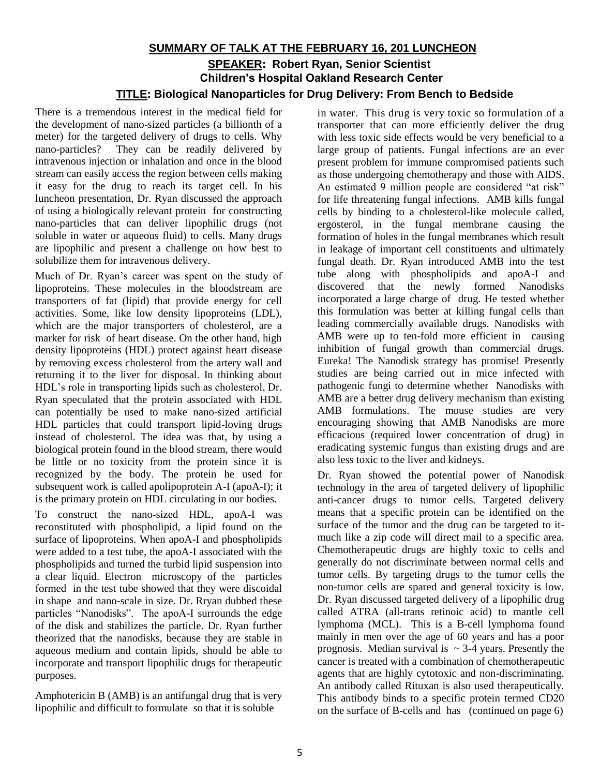## **SUMMARY OF TALK AT THE FEBRUARY 16, 201 LUNCHEON SPEAKER: Robert Ryan, Senior Scientist Children's Hospital Oakland Research Center TITLE: Biological Nanoparticles for Drug Delivery: From Bench to Bedside**

There is a tremendous interest in the medical field for the development of nano-sized particles (a billionth of a meter) for the targeted delivery of drugs to cells. Why nano-particles? They can be readily delivered by intravenous injection or inhalation and once in the blood stream can easily access the region between cells making it easy for the drug to reach its target cell. In his luncheon presentation, Dr. Ryan discussed the approach of using a biologically relevant protein for constructing nano-particles that can deliver lipophilic drugs (not soluble in water or aqueous fluid) to cells. Many drugs are lipophilic and present a challenge on how best to solubilize them for intravenous delivery.

Much of Dr. Ryan's career was spent on the study of lipoproteins. These molecules in the bloodstream are transporters of fat (lipid) that provide energy for cell activities. Some, like low density lipoproteins (LDL), which are the major transporters of cholesterol, are a marker for risk of heart disease. On the other hand, high density lipoproteins (HDL) protect against heart disease by removing excess cholesterol from the artery wall and returning it to the liver for disposal. In thinking about HDL's role in transporting lipids such as cholesterol, Dr. Ryan speculated that the protein associated with HDL can potentially be used to make nano-sized artificial HDL particles that could transport lipid-loving drugs instead of cholesterol. The idea was that, by using a biological protein found in the blood stream, there would be little or no toxicity from the protein since it is recognized by the body. The protein he used for subsequent work is called apolipoprotein A-I (apoA-I); it is the primary protein on HDL circulating in our bodies.

To construct the nano-sized HDL, apoA-I was reconstituted with phospholipid, a lipid found on the surface of lipoproteins. When apoA-I and phospholipids were added to a test tube, the apoA-I associated with the phospholipids and turned the turbid lipid suspension into a clear liquid. Electron microscopy of the particles formed in the test tube showed that they were discoidal in shape and nano-scale in size. Dr. Rryan dubbed these particles "Nanodisks". The apoA-I surrounds the edge of the disk and stabilizes the particle. Dr. Ryan further theorized that the nanodisks, because they are stable in aqueous medium and contain lipids, should be able to incorporate and transport lipophilic drugs for therapeutic purposes.

Amphotericin B (AMB) is an antifungal drug that is very lipophilic and difficult to formulate so that it is soluble

in water. This drug is very toxic so formulation of a transporter that can more efficiently deliver the drug with less toxic side effects would be very beneficial to a large group of patients. Fungal infections are an ever present problem for immune compromised patients such as those undergoing chemotherapy and those with AIDS. An estimated 9 million people are considered "at risk" for life threatening fungal infections. AMB kills fungal cells by binding to a cholesterol-like molecule called, ergosterol, in the fungal membrane causing the formation of holes in the fungal membranes which result in leakage of important cell constituents and ultimately fungal death. Dr. Ryan introduced AMB into the test tube along with phospholipids and apoA-I and discovered that the newly formed Nanodisks incorporated a large charge of drug. He tested whether this formulation was better at killing fungal cells than leading commercially available drugs. Nanodisks with AMB were up to ten-fold more efficient in causing inhibition of fungal growth than commercial drugs. Eureka! The Nanodisk strategy has promise! Presently studies are being carried out in mice infected with pathogenic fungi to determine whether Nanodisks with AMB are a better drug delivery mechanism than existing AMB formulations. The mouse studies are very encouraging showing that AMB Nanodisks are more efficacious (required lower concentration of drug) in eradicating systemic fungus than existing drugs and are also less toxic to the liver and kidneys.

Dr. Ryan showed the potential power of Nanodisk technology in the area of targeted delivery of lipophilic anti-cancer drugs to tumor cells. Targeted delivery means that a specific protein can be identified on the surface of the tumor and the drug can be targeted to itmuch like a zip code will direct mail to a specific area. Chemotherapeutic drugs are highly toxic to cells and generally do not discriminate between normal cells and tumor cells. By targeting drugs to the tumor cells the non-tumor cells are spared and general toxicity is low. Dr. Ryan discussed targeted delivery of a lipophilic drug called ATRA (all-trans retinoic acid) to mantle cell lymphoma (MCL). This is a B-cell lymphoma found mainly in men over the age of 60 years and has a poor prognosis. Median survival is  $\sim$  3-4 years. Presently the cancer is treated with a combination of chemotherapeutic agents that are highly cytotoxic and non-discriminating. An antibody called Rituxan is also used therapeutically. This antibody binds to a specific protein termed CD20 on the surface of B-cells and has (continued on page 6)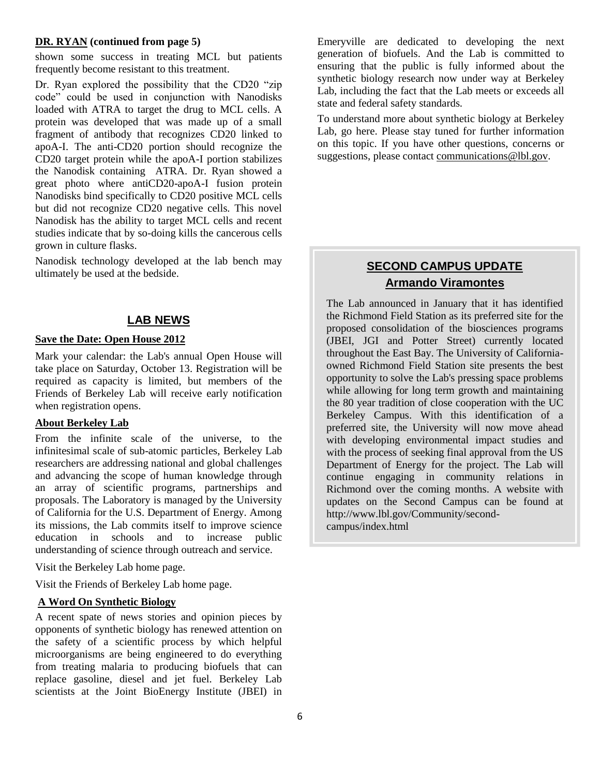#### **DR. RYAN (continued from page 5)**

shown some success in treating MCL but patients frequently become resistant to this treatment.

Dr. Ryan explored the possibility that the CD20 "zip code" could be used in conjunction with Nanodisks loaded with ATRA to target the drug to MCL cells. A protein was developed that was made up of a small fragment of antibody that recognizes CD20 linked to apoA-I. The anti-CD20 portion should recognize the CD20 target protein while the apoA-I portion stabilizes the Nanodisk containing ATRA. Dr. Ryan showed a great photo where antiCD20-apoA-I fusion protein Nanodisks bind specifically to CD20 positive MCL cells but did not recognize CD20 negative cells. This novel Nanodisk has the ability to target MCL cells and recent studies indicate that by so-doing kills the cancerous cells grown in culture flasks.

Nanodisk technology developed at the lab bench may ultimately be used at the bedside.

#### **LAB NEWS**

#### **Save the Date: Open House 2012**

Mark your calendar: the Lab's annual Open House will take place on Saturday, October 13. Registration will be required as capacity is limited, but members of the Friends of Berkeley Lab will receive early notification when registration opens.

#### **About Berkeley Lab**

From the infinite scale of the universe, to the infinitesimal scale of sub-atomic particles, Berkeley Lab researchers are addressing national and global challenges and advancing the scope of human knowledge through an array of scientific programs, partnerships and proposals. The Laboratory is managed by the University of California for the U.S. Department of Energy. Among its missions, the Lab commits itself to improve science education in schools and to increase public understanding of science through outreach and service.

Visit the Berkeley Lab home page.

Visit the Friends of Berkeley Lab home page.

#### **A Word On Synthetic Biology**

A recent spate of news stories and opinion pieces by opponents of synthetic biology has renewed attention on the safety of a scientific process by which helpful microorganisms are being engineered to do everything from treating malaria to producing biofuels that can replace gasoline, diesel and jet fuel. Berkeley Lab scientists at the Joint BioEnergy Institute (JBEI) in

Emeryville are dedicated to developing the next generation of biofuels. And the Lab is committed to ensuring that the public is fully informed about the synthetic biology research now under way at Berkeley Lab, including the fact that the Lab meets or exceeds all state and federal safety standards.

To understand more about synthetic biology at Berkeley Lab, go here. Please stay tuned for further information on this topic. If you have other questions, concerns or suggestions, please contact [communications@lbl.gov.](mailto:communications@lbl.gov)

## **SECOND CAMPUS UPDATE Armando Viramontes**

The Lab announced in January that it has identified the Richmond Field Station as its preferred site for the proposed consolidation of the biosciences programs (JBEI, JGI and Potter Street) currently located throughout the East Bay. The University of Californiaowned Richmond Field Station site presents the best opportunity to solve the Lab's pressing space problems while allowing for long term growth and maintaining the 80 year tradition of close cooperation with the UC Berkeley Campus. With this identification of a preferred site, the University will now move ahead with developing environmental impact studies and with the process of seeking final approval from the US Department of Energy for the project. The Lab will continue engaging in community relations in Richmond over the coming months. A website with updates on the Second Campus can be found at http://www.lbl.gov/Community/secondcampus/index.html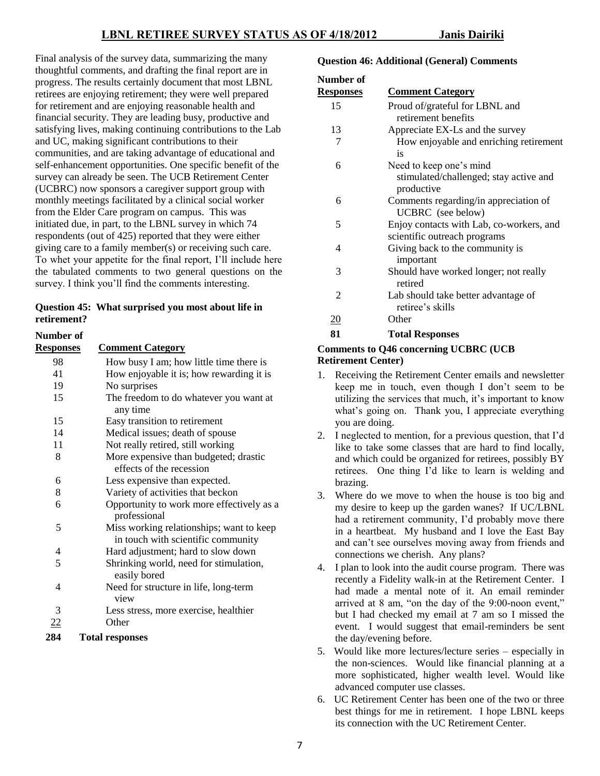Final analysis of the survey data, summarizing the many thoughtful comments, and drafting the final report are in progress. The results certainly document that most LBNL retirees are enjoying retirement; they were well prepared for retirement and are enjoying reasonable health and financial security. They are leading busy, productive and satisfying lives, making continuing contributions to the Lab and UC, making significant contributions to their communities, and are taking advantage of educational and self-enhancement opportunities. One specific benefit of the survey can already be seen. The UCB Retirement Center (UCBRC) now sponsors a caregiver support group with monthly meetings facilitated by a clinical social worker from the Elder Care program on campus. This was initiated due, in part, to the LBNL survey in which 74 respondents (out of 425) reported that they were either giving care to a family member(s) or receiving such care. To whet your appetite for the final report, I'll include here the tabulated comments to two general questions on the survey. I think you'll find the comments interesting.

#### **Question 45: What surprised you most about life in retirement?**

| Number of        |                                                                                |
|------------------|--------------------------------------------------------------------------------|
| <u>Responses</u> | <b>Comment Category</b>                                                        |
| 98               | How busy I am; how little time there is                                        |
| 41               | How enjoyable it is; how rewarding it is                                       |
| 19               | No surprises                                                                   |
| 15               | The freedom to do whatever you want at<br>any time                             |
| 15               | Easy transition to retirement                                                  |
| 14               | Medical issues; death of spouse                                                |
| 11               | Not really retired, still working                                              |
| 8                | More expensive than budgeted; drastic<br>effects of the recession              |
| 6                | Less expensive than expected.                                                  |
| 8                | Variety of activities that beckon                                              |
| 6                | Opportunity to work more effectively as a<br>professional                      |
| 5                | Miss working relationships; want to keep<br>in touch with scientific community |
| 4                | Hard adjustment; hard to slow down                                             |
| 5                | Shrinking world, need for stimulation,<br>easily bored                         |
| 4                | Need for structure in life, long-term<br>view                                  |
| 3                | Less stress, more exercise, healthier                                          |
| 22               | Other                                                                          |
| 284              | <b>Total responses</b>                                                         |

#### **Question 46: Additional (General) Comments**

| Number of        |                                                            |
|------------------|------------------------------------------------------------|
| <u>Responses</u> | <b>Comment Category</b>                                    |
| 15               | Proud of/grateful for LBNL and                             |
|                  | retirement benefits                                        |
| 13               | Appreciate EX-Ls and the survey                            |
| 7                | How enjoyable and enriching retirement<br>is               |
| 6                | Need to keep one's mind                                    |
|                  | stimulated/challenged; stay active and<br>productive       |
| 6                | Comments regarding/in appreciation of<br>UCBRC (see below) |
| 5                | Enjoy contacts with Lab, co-workers, and                   |
|                  | scientific outreach programs                               |
| 4                | Giving back to the community is<br>important               |
| 3                | Should have worked longer; not really<br>retired           |
| 2                | Lab should take better advantage of<br>retiree's skills    |
| <u> 20</u>       | Other                                                      |
| 81               | <b>Total Responses</b>                                     |

#### **Comments to Q46 concerning UCBRC (UCB Retirement Center)**

- 1. Receiving the Retirement Center emails and newsletter keep me in touch, even though I don't seem to be utilizing the services that much, it's important to know what's going on. Thank you, I appreciate everything you are doing.
- 2. I neglected to mention, for a previous question, that I'd like to take some classes that are hard to find locally, and which could be organized for retirees, possibly BY retirees. One thing I'd like to learn is welding and brazing.
- 3. Where do we move to when the house is too big and my desire to keep up the garden wanes? If UC/LBNL had a retirement community, I'd probably move there in a heartbeat. My husband and I love the East Bay and can't see ourselves moving away from friends and connections we cherish. Any plans?
- 4. I plan to look into the audit course program. There was recently a Fidelity walk-in at the Retirement Center. I had made a mental note of it. An email reminder arrived at 8 am, "on the day of the 9:00-noon event," but I had checked my email at 7 am so I missed the event. I would suggest that email-reminders be sent the day/evening before.
- 5. Would like more lectures/lecture series especially in the non-sciences. Would like financial planning at a more sophisticated, higher wealth level. Would like advanced computer use classes.
- 6. UC Retirement Center has been one of the two or three best things for me in retirement. I hope LBNL keeps its connection with the UC Retirement Center.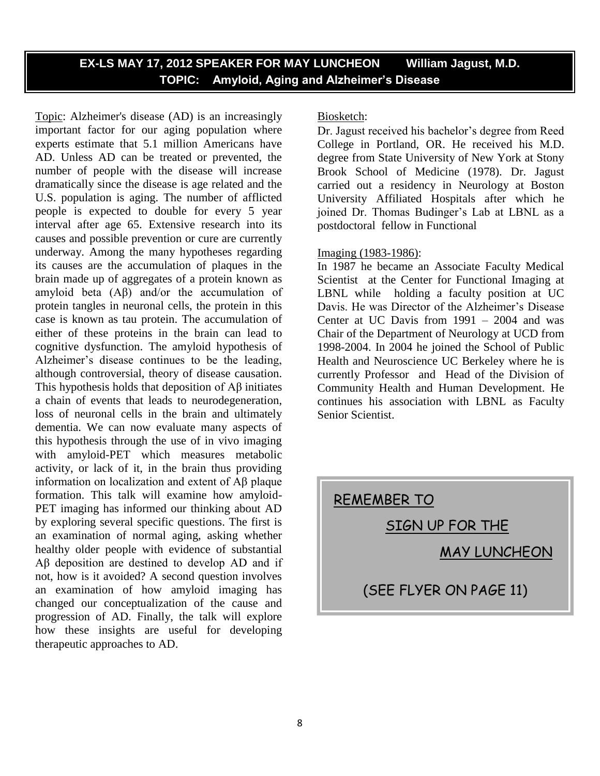## **EX-LS MAY 17, 2012 SPEAKER FOR MAY LUNCHEON William Jagust, M.D. TOPIC: Amyloid, Aging and Alzheimer's Disease**

Topic: Alzheimer's disease (AD) is an increasingly important factor for our aging population where experts estimate that 5.1 million Americans have AD. Unless AD can be treated or prevented, the number of people with the disease will increase dramatically since the disease is age related and the U.S. population is aging. The number of afflicted people is expected to double for every 5 year interval after age 65. Extensive research into its causes and possible prevention or cure are currently underway. Among the many hypotheses regarding its causes are the accumulation of plaques in the brain made up of aggregates of a protein known as amyloid beta (Aβ) and/or the accumulation of protein tangles in neuronal cells, the protein in this case is known as tau protein. The accumulation of either of these proteins in the brain can lead to cognitive dysfunction. The amyloid hypothesis of Alzheimer's disease continues to be the leading, although controversial, theory of disease causation. This hypothesis holds that deposition of Aβ initiates a chain of events that leads to neurodegeneration, loss of neuronal cells in the brain and ultimately dementia. We can now evaluate many aspects of this hypothesis through the use of in vivo imaging with amyloid-PET which measures metabolic activity, or lack of it, in the brain thus providing information on localization and extent of Aβ plaque formation. This talk will examine how amyloid-PET imaging has informed our thinking about AD by exploring several specific questions. The first is an examination of normal aging, asking whether healthy older people with evidence of substantial Aβ deposition are destined to develop AD and if not, how is it avoided? A second question involves an examination of how amyloid imaging has changed our conceptualization of the cause and progression of AD. Finally, the talk will explore how these insights are useful for developing therapeutic approaches to AD.

#### Biosketch:

Dr. Jagust received his bachelor's degree from Reed College in Portland, OR. He received his M.D. degree from State University of New York at Stony Brook School of Medicine (1978). Dr. Jagust carried out a residency in Neurology at Boston University Affiliated Hospitals after which he joined Dr. Thomas Budinger's Lab at LBNL as a postdoctoral fellow in Functional

#### Imaging (1983-1986):

In 1987 he became an Associate Faculty Medical Scientist at the Center for Functional Imaging at LBNL while holding a faculty position at UC Davis. He was Director of the Alzheimer's Disease Center at UC Davis from 1991 – 2004 and was Chair of the Department of Neurology at UCD from 1998-2004. In 2004 he joined the School of Public Health and Neuroscience UC Berkeley where he is currently Professor and Head of the Division of Community Health and Human Development. He continues his association with LBNL as Faculty Senior Scientist.

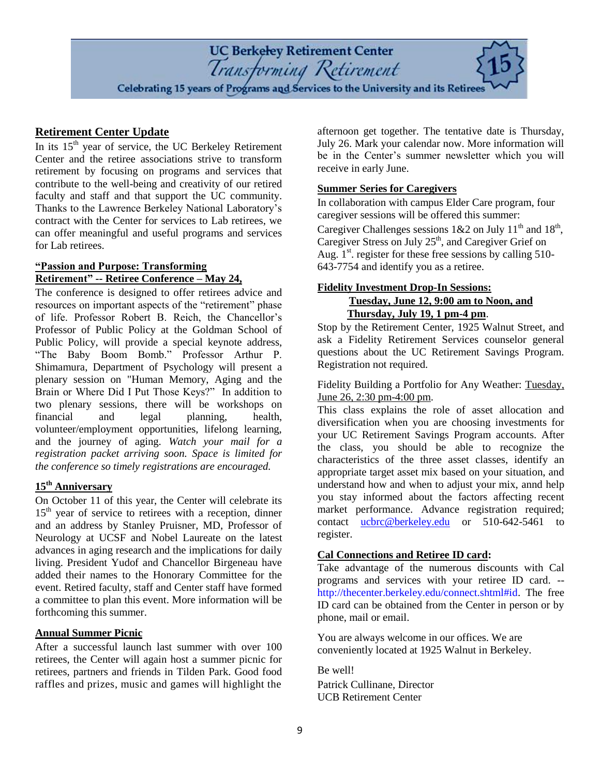

#### **Retirement Center Update**

In its  $15<sup>th</sup>$  year of service, the UC Berkeley Retirement Center and the retiree associations strive to transform retirement by focusing on programs and services that contribute to the well-being and creativity of our retired faculty and staff and that support the UC community. Thanks to the Lawrence Berkeley National Laboratory's contract with the Center for services to Lab retirees, we can offer meaningful and useful programs and services for Lab retirees.

#### **"Passion and Purpose: Transforming Retirement" -- Retiree Conference – May 24,**

The conference is designed to offer retirees advice and resources on important aspects of the "retirement" phase of life. Professor Robert B. Reich, the Chancellor's Professor of Public Policy at the Goldman School of Public Policy, will provide a special keynote address, "The Baby Boom Bomb." Professor Arthur P. Shimamura, Department of Psychology will present a plenary session on "Human Memory, Aging and the Brain or Where Did I Put Those Keys?" In addition to two plenary sessions, there will be workshops on financial and legal planning, health, volunteer/employment opportunities, lifelong learning, and the journey of aging. *Watch your mail for a registration packet arriving soon. Space is limited for the conference so timely registrations are encouraged.* 

## **15th Anniversary**

On October 11 of this year, the Center will celebrate its  $15<sup>th</sup>$  year of service to retirees with a reception, dinner and an address by Stanley Pruisner, MD, Professor of Neurology at UCSF and Nobel Laureate on the latest advances in aging research and the implications for daily living. President Yudof and Chancellor Birgeneau have added their names to the Honorary Committee for the event. Retired faculty, staff and Center staff have formed a committee to plan this event. More information will be forthcoming this summer.

### **Annual Summer Picnic**

After a successful launch last summer with over 100 retirees, the Center will again host a summer picnic for retirees, partners and friends in Tilden Park. Good food raffles and prizes, music and games will highlight the

afternoon get together. The tentative date is Thursday, July 26. Mark your calendar now. More information will be in the Center's summer newsletter which you will receive in early June.

#### **Summer Series for Caregivers**

In collaboration with campus Elder Care program, four caregiver sessions will be offered this summer: Caregiver Challenges sessions  $1&2$  on July  $11<sup>th</sup>$  and  $18<sup>th</sup>$ , Caregiver Stress on July  $25<sup>th</sup>$ , and Caregiver Grief on Aug.  $1<sup>st</sup>$  register for these free sessions by calling 510-643-7754 and identify you as a retiree.

#### **[Fidelity Investment Drop-In Sessions:](http://thecenter.berkeley.edu/fiscal.shtml) Tuesday, June 12, 9:00 am to Noon, and Thursday, July 19, 1 pm-4 pm**.

Stop by the Retirement Center, 1925 Walnut Street, and ask a Fidelity Retirement Services counselor general questions about the UC Retirement Savings Program. Registration not required.

Fidelity Building a Portfolio for Any Weather: Tuesday, June 26, 2:30 pm-4:00 pm.

This class explains the role of asset allocation and diversification when you are choosing investments for your UC Retirement Savings Program accounts. After the class, you should be able to recognize the characteristics of the three asset classes, identify an appropriate target asset mix based on your situation, and understand how and when to adjust your mix, annd help you stay informed about the factors affecting recent market performance. Advance registration required; contact [ucbrc@berkeley.edu](mailto:ucbrc@berkeley.edu) or 510-642-5461 to register.

#### **Cal Connections and Retiree ID card:**

Take advantage of the numerous discounts with Cal programs and services with your retiree ID card. - [http://thecenter.berkeley.edu/connect.shtml#id.](http://thecenter.berkeley.edu/connect.shtml#id) The free ID card can be obtained from the Center in person or by phone, mail or email.

You are always welcome in our offices. We are conveniently located at 1925 Walnut in Berkeley.

Be well! Patrick Cullinane, Director UCB Retirement Center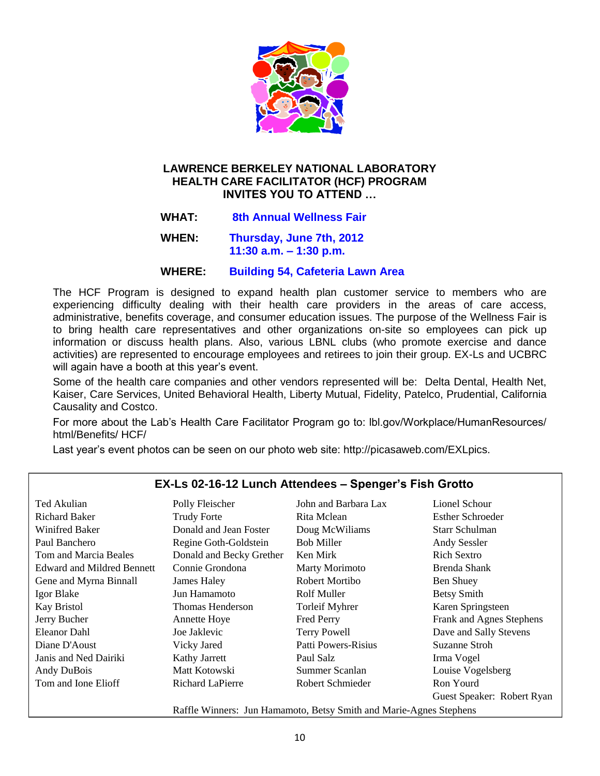

### **LAWRENCE BERKELEY NATIONAL LABORATORY HEALTH CARE FACILITATOR (HCF) PROGRAM INVITES YOU TO ATTEND …**

 **WHAT: 8th Annual Wellness Fair**

 **WHEN: Thursday, June 7th, 2012 11:30 a.m. – 1:30 p.m.**

#### **WHERE: Building 54, Cafeteria Lawn Area**

The HCF Program is designed to expand health plan customer service to members who are experiencing difficulty dealing with their health care providers in the areas of care access, administrative, benefits coverage, and consumer education issues. The purpose of the Wellness Fair is to bring health care representatives and other organizations on-site so employees can pick up information or discuss health plans. Also, various LBNL clubs (who promote exercise and dance activities) are represented to encourage employees and retirees to join their group. EX-Ls and UCBRC will again have a booth at this year's event.

Some of the health care companies and other vendors represented will be: Delta Dental, Health Net, Kaiser, Care Services, United Behavioral Health, Liberty Mutual, Fidelity, Patelco, Prudential, California Causality and Costco.

For more about the Lab's Health Care Facilitator Program go to: lbl.gov/Workplace/HumanResources/ html/Benefits/ HCF/

Last year's event photos can be seen on our photo web site: http://picasaweb.com/EXLpics.

| Ted Akulian                       | Polly Fleischer                                                    | John and Barbara Lax       | Lionel Schour              |
|-----------------------------------|--------------------------------------------------------------------|----------------------------|----------------------------|
| <b>Richard Baker</b>              | <b>Trudy Forte</b>                                                 | Rita Mclean                | <b>Esther Schroeder</b>    |
| Winifred Baker                    | Donald and Jean Foster                                             | Doug McWiliams             | Starr Schulman             |
| Paul Banchero                     | Regine Goth-Goldstein                                              | <b>Bob Miller</b>          | <b>Andy Sessler</b>        |
| Tom and Marcia Beales             | Donald and Becky Grether                                           | Ken Mirk                   | Rich Sextro                |
| <b>Edward and Mildred Bennett</b> | Connie Grondona                                                    | Marty Morimoto             | Brenda Shank               |
| Gene and Myrna Binnall            | James Haley                                                        | Robert Mortibo             | Ben Shuey                  |
| Igor Blake                        | Jun Hamamoto                                                       | Rolf Muller                | <b>Betsy Smith</b>         |
| Kay Bristol                       | Thomas Henderson                                                   | <b>Torleif Myhrer</b>      | Karen Springsteen          |
| Jerry Bucher                      | <b>Annette Hoye</b>                                                | <b>Fred Perry</b>          | Frank and Agnes Stephens   |
| Eleanor Dahl                      | Joe Jaklevic                                                       | <b>Terry Powell</b>        | Dave and Sally Stevens     |
| Diane D'Aoust                     | Vicky Jared                                                        | <b>Patti Powers-Risius</b> | Suzanne Stroh              |
| Janis and Ned Dairiki             | Kathy Jarrett                                                      | Paul Salz                  | Irma Vogel                 |
| Andy DuBois                       | Matt Kotowski                                                      | Summer Scanlan             | Louise Vogelsberg          |
| Tom and Ione Elioff               | Richard LaPierre                                                   | Robert Schmieder           | Ron Yourd                  |
|                                   |                                                                    |                            | Guest Speaker: Robert Ryan |
|                                   | Raffle Winners: Jun Hamamoto, Betsy Smith and Marie-Agnes Stephens |                            |                            |

## **EX-Ls 02-16-12 Lunch Attendees – Spenger's Fish Grotto**